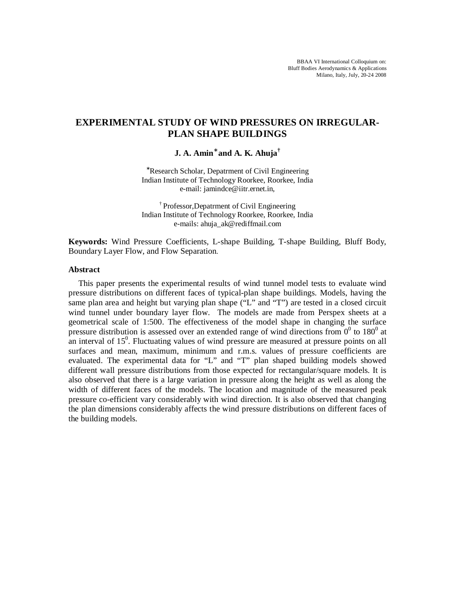# **EXPERIMENTAL STUDY OF WIND PRESSURES ON IRREGULAR-PLAN SHAPE BUILDINGS**

**J. A. Amin**<sup>∗</sup>  **and A. K. Ahuja†**

<sup>∗</sup>Research Scholar, Depatrment of Civil Engineering Indian Institute of Technology Roorkee, Roorkee, India e-mail: [jamindce@iitr.ernet.in,](mailto:jamindce@iitr.ernet.in)

† Professor,Depatrment of Civil Engineering Indian Institute of Technology Roorkee, Roorkee, India e-mails: [ahuja\\_ak@rediffmail.com](mailto:ahuja_ak@rediffmail.com)

**Keywords:** Wind Pressure Coefficients, L-shape Building, T-shape Building, Bluff Body, Boundary Layer Flow, and Flow Separation.

## **Abstract**

This paper presents the experimental results of wind tunnel model tests to evaluate wind pressure distributions on different faces of typical-plan shape buildings. Models, having the same plan area and height but varying plan shape ("L" and "T") are tested in a closed circuit wind tunnel under boundary layer flow. The models are made from Perspex sheets at a geometrical scale of 1:500. The effectiveness of the model shape in changing the surface pressure distribution is assessed over an extended range of wind directions from  $0^0$  to 180<sup>0</sup> at an interval of  $15<sup>0</sup>$ . Fluctuating values of wind pressure are measured at pressure points on all surfaces and mean, maximum, minimum and r.m.s. values of pressure coefficients are evaluated. The experimental data for "L" and "T" plan shaped building models showed different wall pressure distributions from those expected for rectangular/square models. It is also observed that there is a large variation in pressure along the height as well as along the width of different faces of the models. The location and magnitude of the measured peak pressure co-efficient vary considerably with wind direction. It is also observed that changing the plan dimensions considerably affects the wind pressure distributions on different faces of the building models.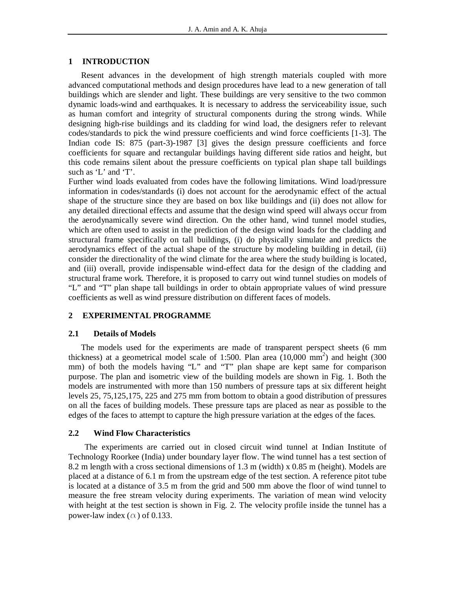## **1 INTRODUCTION**

Resent advances in the development of high strength materials coupled with more advanced computational methods and design procedures have lead to a new generation of tall buildings which are slender and light. These buildings are very sensitive to the two common dynamic loads-wind and earthquakes. It is necessary to address the serviceability issue, such as human comfort and integrity of structural components during the strong winds. While designing high-rise buildings and its cladding for wind load, the designers refer to relevant codes/standards to pick the wind pressure coefficients and wind force coefficients [1-3]. The Indian code IS: 875 (part-3)-1987 [3] gives the design pressure coefficients and force coefficients for square and rectangular buildings having different side ratios and height, but this code remains silent about the pressure coefficients on typical plan shape tall buildings such as 'L' and 'T'.

Further wind loads evaluated from codes have the following limitations. Wind load/pressure information in codes/standards (i) does not account for the aerodynamic effect of the actual shape of the structure since they are based on box like buildings and (ii) does not allow for any detailed directional effects and assume that the design wind speed will always occur from the aerodynamically severe wind direction. On the other hand, wind tunnel model studies, which are often used to assist in the prediction of the design wind loads for the cladding and structural frame specifically on tall buildings, (i) do physically simulate and predicts the aerodynamics effect of the actual shape of the structure by modeling building in detail, (ii) consider the directionality of the wind climate for the area where the study building is located, and (iii) overall, provide indispensable wind-effect data for the design of the cladding and structural frame work. Therefore, it is proposed to carry out wind tunnel studies on models of "L" and "T" plan shape tall buildings in order to obtain appropriate values of wind pressure coefficients as well as wind pressure distribution on different faces of models.

## **2 EXPERIMENTAL PROGRAMME**

## **2.1 Details of Models**

 The models used for the experiments are made of transparent perspect sheets (6 mm thickness) at a geometrical model scale of 1:500. Plan area  $(10,000 \text{ mm}^2)$  and height (300 mm) of both the models having "L" and "T" plan shape are kept same for comparison purpose. The plan and isometric view of the building models are shown in Fig. 1. Both the models are instrumented with more than 150 numbers of pressure taps at six different height levels 25, 75,125,175, 225 and 275 mm from bottom to obtain a good distribution of pressures on all the faces of building models. These pressure taps are placed as near as possible to the edges of the faces to attempt to capture the high pressure variation at the edges of the faces.

## **2.2 Wind Flow Characteristics**

The experiments are carried out in closed circuit wind tunnel at Indian Institute of Technology Roorkee (India) under boundary layer flow. The wind tunnel has a test section of 8.2 m length with a cross sectional dimensions of 1.3 m (width) x 0.85 m (height). Models are placed at a distance of 6.1 m from the upstream edge of the test section. A reference pitot tube is located at a distance of 3.5 m from the grid and 500 mm above the floor of wind tunnel to measure the free stream velocity during experiments. The variation of mean wind velocity with height at the test section is shown in Fig. 2. The velocity profile inside the tunnel has a power-law index ( $\alpha$ ) of 0.133.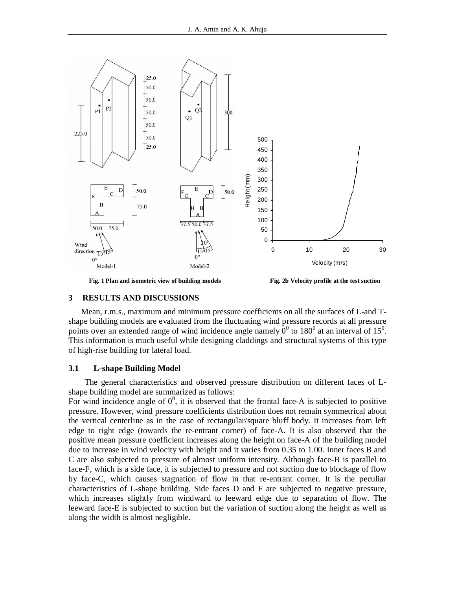

**Fig. 1 Plan and isometric view of building models Fig. 2b Velocity profile at the test suction**

#### **3 RESULTS AND DISCUSSIONS**

Mean, r.m.s., maximum and minimum pressure coefficients on all the surfaces of L-and Tshape building models are evaluated from the fluctuating wind pressure records at all pressure points over an extended range of wind incidence angle namely  $0^0$  to 180<sup>0</sup> at an interval of 15<sup>0</sup>. This information is much useful while designing claddings and structural systems of this type of high-rise building for lateral load.

## **3.1 L-shape Building Model**

The general characteristics and observed pressure distribution on different faces of Lshape building model are summarized as follows:

For wind incidence angle of  $0^0$ , it is observed that the frontal face-A is subjected to positive pressure. However, wind pressure coefficients distribution does not remain symmetrical about the vertical centerline as in the case of rectangular/square bluff body. It increases from left edge to right edge (towards the re-entrant corner) of face-A. It is also observed that the positive mean pressure coefficient increases along the height on face-A of the building model due to increase in wind velocity with height and it varies from 0.35 to 1.00. Inner faces B and C are also subjected to pressure of almost uniform intensity. Although face-B is parallel to face-F, which is a side face, it is subjected to pressure and not suction due to blockage of flow by face-C, which causes stagnation of flow in that re-entrant corner. It is the peculiar characteristics of L-shape building. Side faces D and F are subjected to negative pressure, which increases slightly from windward to leeward edge due to separation of flow. The leeward face-E is subjected to suction but the variation of suction along the height as well as along the width is almost negligible.